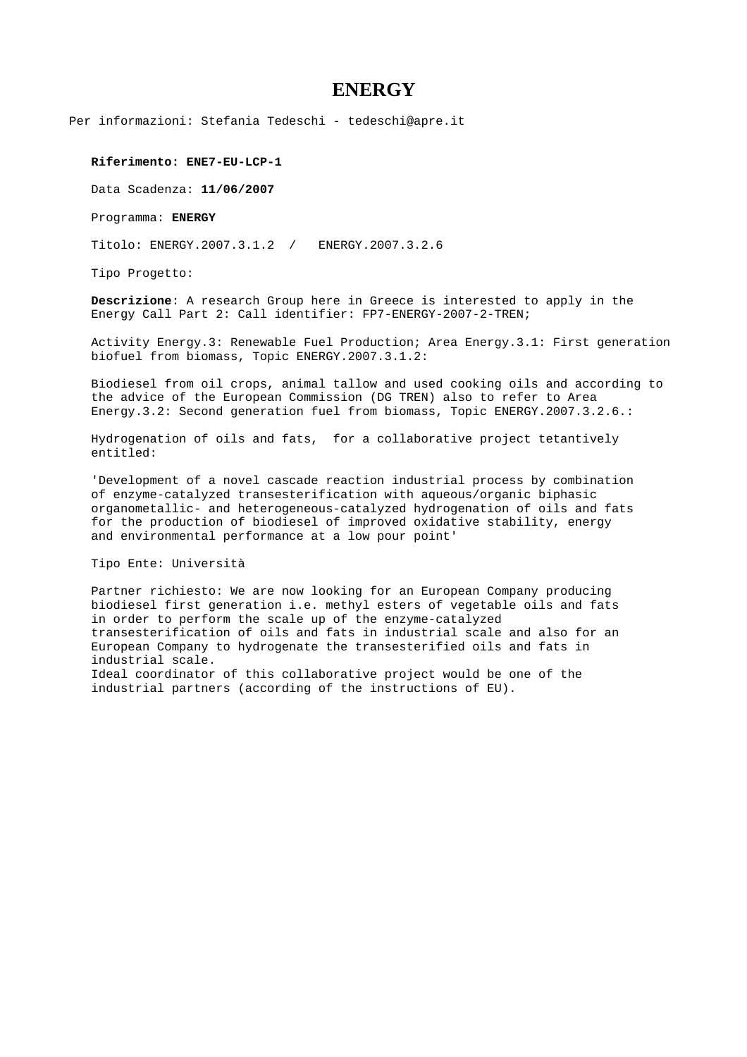## **ENERGY**

Per informazioni: Stefania Tedeschi - tedeschi@apre.it

**Riferimento: ENE7-EU-LCP-1**

Data Scadenza: **11/06/2007** 

Programma: **ENERGY**

Titolo: ENERGY.2007.3.1.2 / ENERGY.2007.3.2.6

Tipo Progetto:

**Descrizione**: A research Group here in Greece is interested to apply in the Energy Call Part 2: Call identifier: FP7-ENERGY-2007-2-TREN;

Activity Energy.3: Renewable Fuel Production; Area Energy.3.1: First generation biofuel from biomass, Topic ENERGY.2007.3.1.2:

Biodiesel from oil crops, animal tallow and used cooking oils and according to the advice of the European Commission (DG TREN) also to refer to Area Energy.3.2: Second generation fuel from biomass, Topic ENERGY.2007.3.2.6.:

Hydrogenation of oils and fats, for a collaborative project tetantively entitled:

'Development of a novel cascade reaction industrial process by combination of enzyme-catalyzed transesterification with aqueous/organic biphasic organometallic- and heterogeneous-catalyzed hydrogenation of oils and fats for the production of biodiesel of improved oxidative stability, energy and environmental performance at a low pour point'

Tipo Ente: Università

Partner richiesto: We are now looking for an European Company producing biodiesel first generation i.e. methyl esters of vegetable oils and fats in order to perform the scale up of the enzyme-catalyzed transesterification of oils and fats in industrial scale and also for an European Company to hydrogenate the transesterified oils and fats in industrial scale. Ideal coordinator of this collaborative project would be one of the industrial partners (according of the instructions of EU).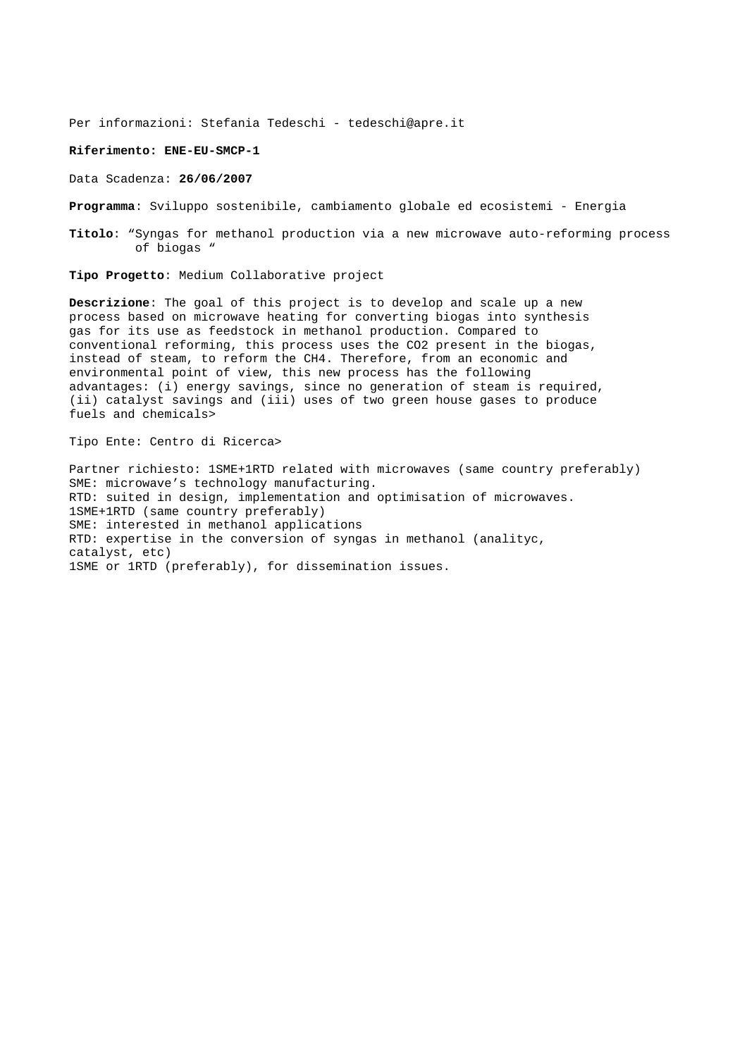Per informazioni: Stefania Tedeschi - tedeschi@apre.it

## **Riferimento: ENE-EU-SMCP-1**

Data Scadenza: **26/06/2007** 

**Programma**: Sviluppo sostenibile, cambiamento globale ed ecosistemi - Energia

**Titolo**: "Syngas for methanol production via a new microwave auto-reforming process of biogas "

**Tipo Progetto**: Medium Collaborative project

**Descrizione**: The goal of this project is to develop and scale up a new process based on microwave heating for converting biogas into synthesis gas for its use as feedstock in methanol production. Compared to conventional reforming, this process uses the CO2 present in the biogas, instead of steam, to reform the CH4. Therefore, from an economic and environmental point of view, this new process has the following advantages: (i) energy savings, since no generation of steam is required, (ii) catalyst savings and (iii) uses of two green house gases to produce fuels and chemicals>

Tipo Ente: Centro di Ricerca>

Partner richiesto: 1SME+1RTD related with microwaves (same country preferably) SME: microwave's technology manufacturing. RTD: suited in design, implementation and optimisation of microwaves. 1SME+1RTD (same country preferably) SME: interested in methanol applications RTD: expertise in the conversion of syngas in methanol (analityc, catalyst, etc) 1SME or 1RTD (preferably), for dissemination issues.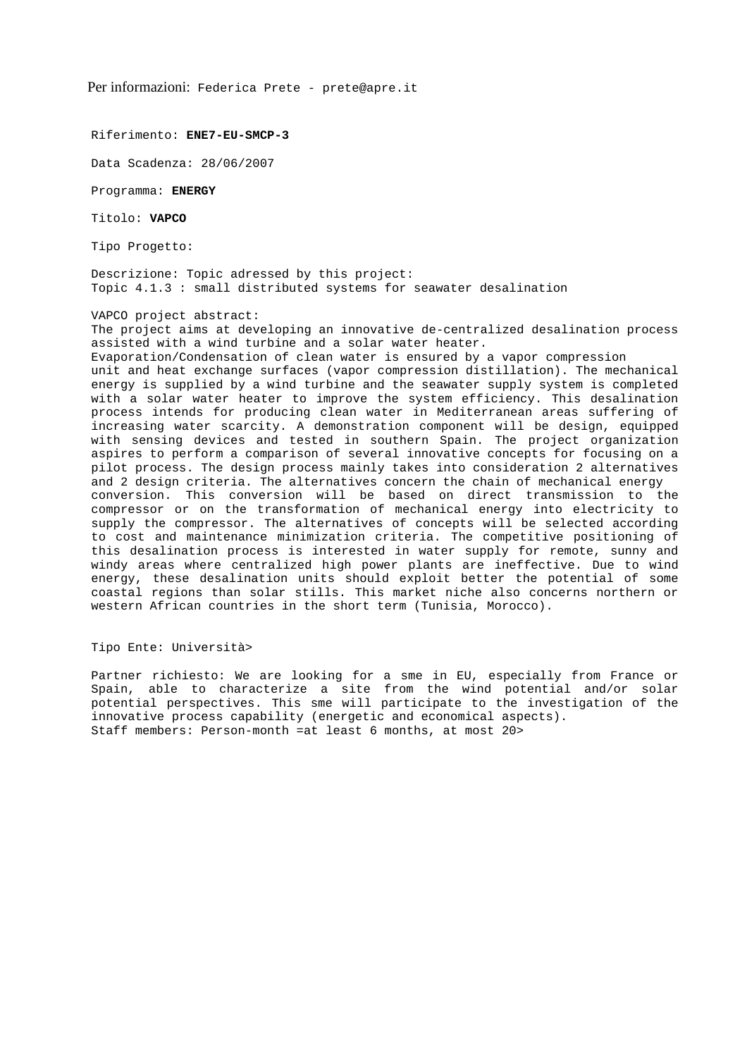Per informazioni: Federica Prete - prete@apre.it

Riferimento: **ENE7-EU-SMCP-3** 

Data Scadenza: 28/06/2007

Programma: **ENERGY** 

Titolo: **VAPCO** 

Tipo Progetto:

Descrizione: Topic adressed by this project: Topic 4.1.3 : small distributed systems for seawater desalination

VAPCO project abstract:

The project aims at developing an innovative de-centralized desalination process assisted with a wind turbine and a solar water heater.

Evaporation/Condensation of clean water is ensured by a vapor compression unit and heat exchange surfaces (vapor compression distillation). The mechanical energy is supplied by a wind turbine and the seawater supply system is completed with a solar water heater to improve the system efficiency. This desalination process intends for producing clean water in Mediterranean areas suffering of increasing water scarcity. A demonstration component will be design, equipped with sensing devices and tested in southern Spain. The project organization aspires to perform a comparison of several innovative concepts for focusing on a pilot process. The design process mainly takes into consideration 2 alternatives and 2 design criteria. The alternatives concern the chain of mechanical energy conversion. This conversion will be based on direct transmission to the compressor or on the transformation of mechanical energy into electricity to supply the compressor. The alternatives of concepts will be selected according to cost and maintenance minimization criteria. The competitive positioning of this desalination process is interested in water supply for remote, sunny and windy areas where centralized high power plants are ineffective. Due to wind energy, these desalination units should exploit better the potential of some coastal regions than solar stills. This market niche also concerns northern or western African countries in the short term (Tunisia, Morocco).

Tipo Ente: Università>

Partner richiesto: We are looking for a sme in EU, especially from France or Spain, able to characterize a site from the wind potential and/or solar potential perspectives. This sme will participate to the investigation of the innovative process capability (energetic and economical aspects). Staff members: Person-month =at least 6 months, at most 20>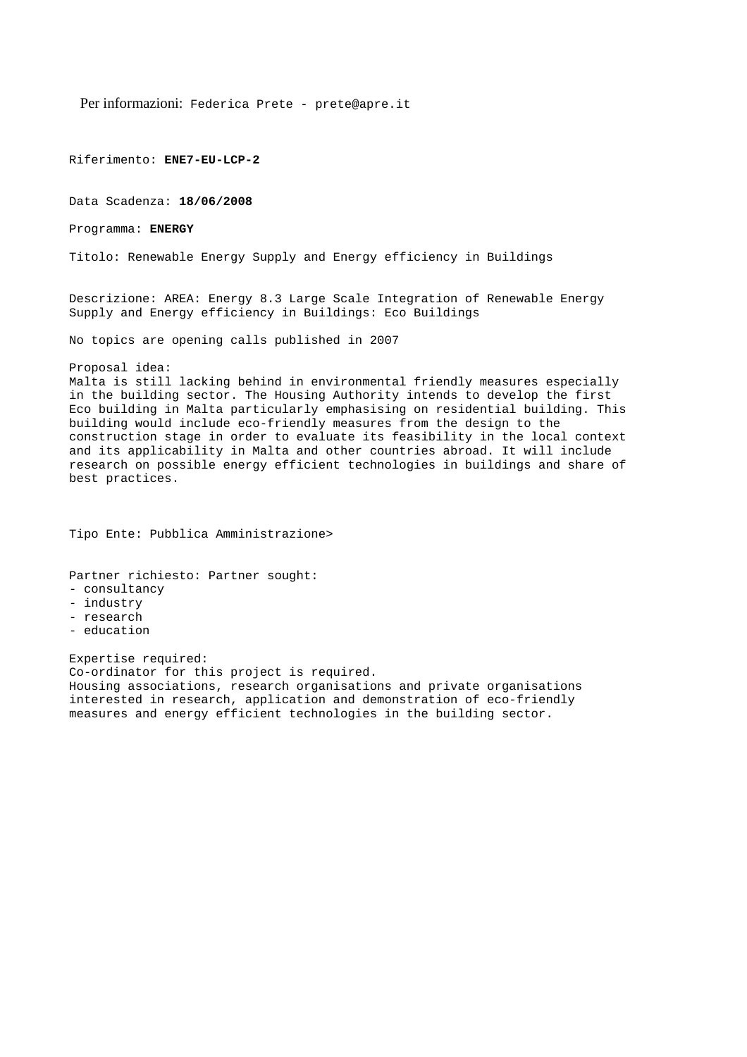Per informazioni: Federica Prete - prete@apre.it

Riferimento: **ENE7-EU-LCP-2**

Data Scadenza: **18/06/2008** 

Programma: **ENERGY** 

Titolo: Renewable Energy Supply and Energy efficiency in Buildings

Descrizione: AREA: Energy 8.3 Large Scale Integration of Renewable Energy Supply and Energy efficiency in Buildings: Eco Buildings

No topics are opening calls published in 2007

Proposal idea:

Malta is still lacking behind in environmental friendly measures especially in the building sector. The Housing Authority intends to develop the first Eco building in Malta particularly emphasising on residential building. This building would include eco-friendly measures from the design to the construction stage in order to evaluate its feasibility in the local context and its applicability in Malta and other countries abroad. It will include research on possible energy efficient technologies in buildings and share of best practices.

Tipo Ente: Pubblica Amministrazione>

Partner richiesto: Partner sought:

- consultancy
- industry
- research
- education

Expertise required: Co-ordinator for this project is required. Housing associations, research organisations and private organisations interested in research, application and demonstration of eco-friendly measures and energy efficient technologies in the building sector.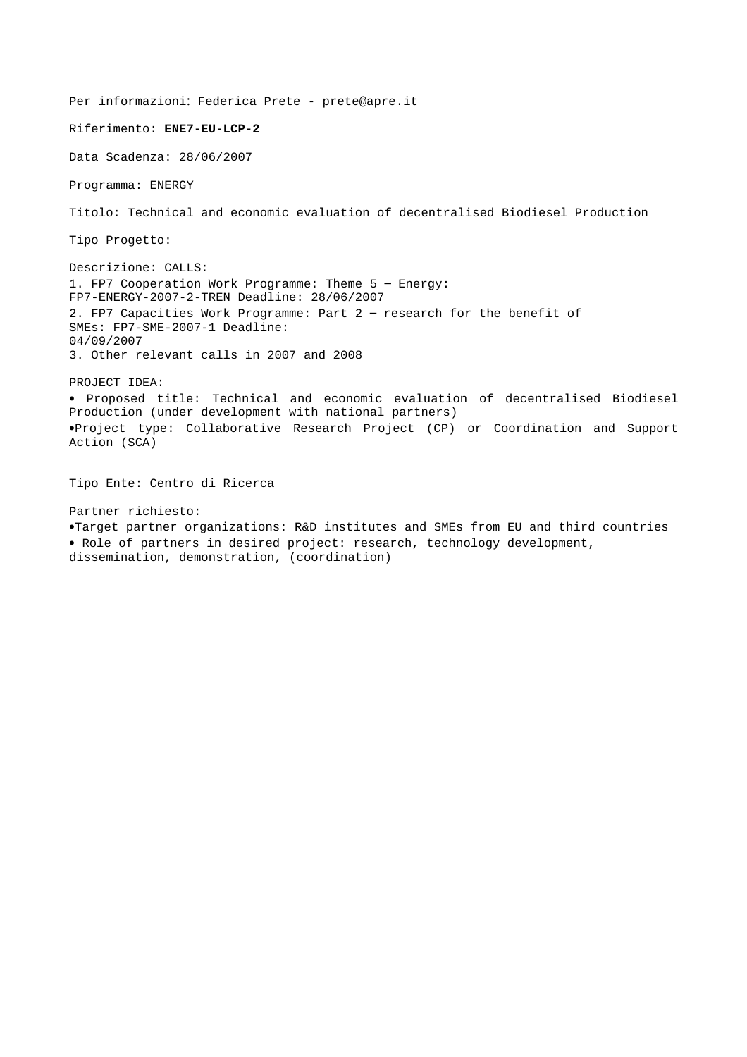Per informazioni: Federica Prete - prete@apre.it Riferimento: **ENE7-EU-LCP-2** Data Scadenza: 28/06/2007 Programma: ENERGY Titolo: Technical and economic evaluation of decentralised Biodiesel Production Tipo Progetto: Descrizione: CALLS: 1. FP7 Cooperation Work Programme: Theme 5 – Energy: FP7-ENERGY-2007-2-TREN Deadline: 28/06/2007 2. FP7 Capacities Work Programme: Part 2 – research for the benefit of SMEs: FP7-SME-2007-1 Deadline: 04/09/2007 3. Other relevant calls in 2007 and 2008 PROJECT IDEA: • Proposed title: Technical and economic evaluation of decentralised Biodiesel Production (under development with national partners) •Project type: Collaborative Research Project (CP) or Coordination and Support Action (SCA) Tipo Ente: Centro di Ricerca Partner richiesto: •Target partner organizations: R&D institutes and SMEs from EU and third countries • Role of partners in desired project: research, technology development, dissemination, demonstration, (coordination)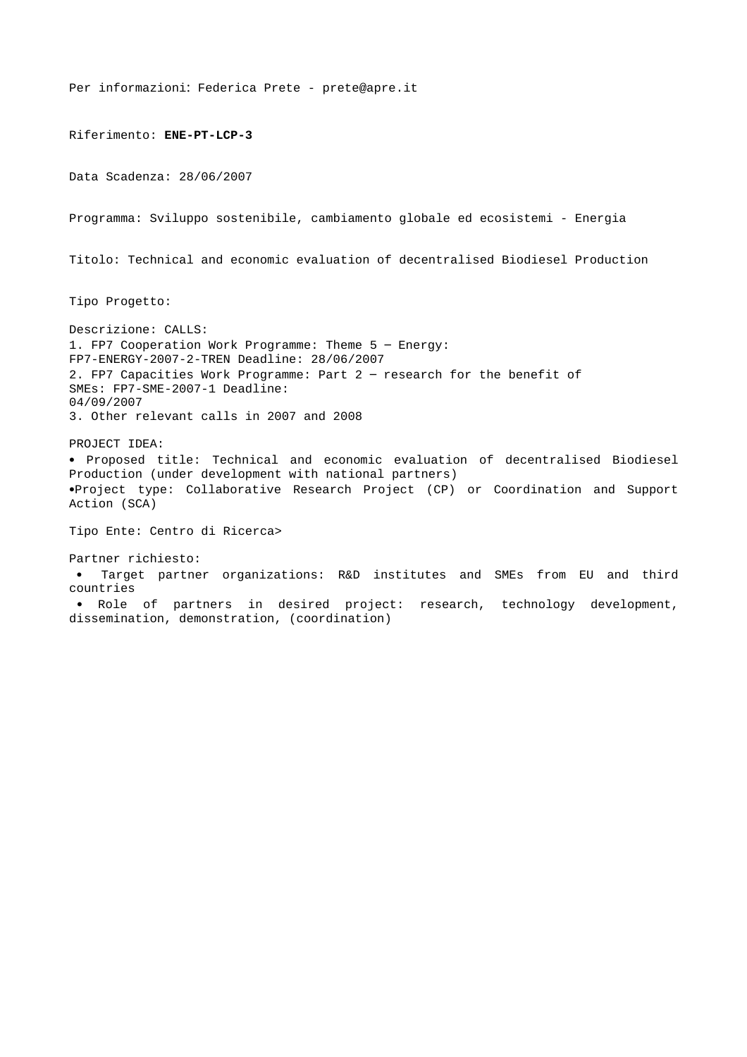Per informazioni: Federica Prete - prete@apre.it Riferimento: **ENE-PT-LCP-3**  Data Scadenza: 28/06/2007 Programma: Sviluppo sostenibile, cambiamento globale ed ecosistemi - Energia Titolo: Technical and economic evaluation of decentralised Biodiesel Production Tipo Progetto: Descrizione: CALLS: 1. FP7 Cooperation Work Programme: Theme 5 – Energy: FP7-ENERGY-2007-2-TREN Deadline: 28/06/2007 2. FP7 Capacities Work Programme: Part 2 – research for the benefit of SMEs: FP7-SME-2007-1 Deadline: 04/09/2007 3. Other relevant calls in 2007 and 2008 PROJECT IDEA: • Proposed title: Technical and economic evaluation of decentralised Biodiesel Production (under development with national partners) •Project type: Collaborative Research Project (CP) or Coordination and Support Action (SCA) Tipo Ente: Centro di Ricerca> Partner richiesto: • Target partner organizations: R&D institutes and SMEs from EU and third countries • Role of partners in desired project: research, technology development, dissemination, demonstration, (coordination)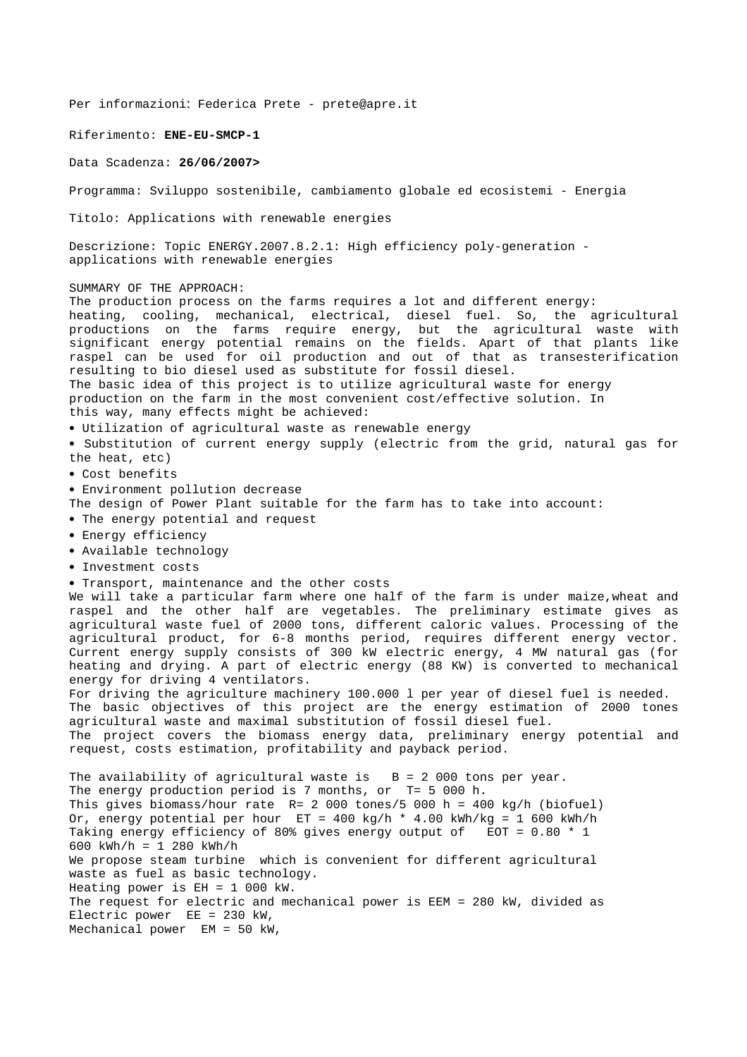Per informazioni: Federica Prete - prete@apre.it

Riferimento: **ENE-EU-SMCP-1** 

Data Scadenza: **26/06/2007>** 

Programma: Sviluppo sostenibile, cambiamento globale ed ecosistemi - Energia

Titolo: Applications with renewable energies

Descrizione: Topic ENERGY.2007.8.2.1: High efficiency poly-generation applications with renewable energies

SUMMARY OF THE APPROACH:

The production process on the farms requires a lot and different energy: heating, cooling, mechanical, electrical, diesel fuel. So, the agricultural productions on the farms require energy, but the agricultural waste with significant energy potential remains on the fields. Apart of that plants like raspel can be used for oil production and out of that as transesterification resulting to bio diesel used as substitute for fossil diesel. The basic idea of this project is to utilize agricultural waste for energy production on the farm in the most convenient cost/effective solution. In this way, many effects might be achieved: • Utilization of agricultural waste as renewable energy • Substitution of current energy supply (electric from the grid, natural gas for the heat, etc) • Cost benefits

- Environment pollution decrease
- The design of Power Plant suitable for the farm has to take into account:
- The energy potential and request
- Energy efficiency
- Available technology
- Investment costs
- Transport, maintenance and the other costs

We will take a particular farm where one half of the farm is under maize,wheat and raspel and the other half are vegetables. The preliminary estimate gives as agricultural waste fuel of 2000 tons, different caloric values. Processing of the agricultural product, for 6-8 months period, requires different energy vector. Current energy supply consists of 300 kW electric energy, 4 MW natural gas (for heating and drying. A part of electric energy (88 KW) is converted to mechanical energy for driving 4 ventilators.

For driving the agriculture machinery 100.000 l per year of diesel fuel is needed. The basic objectives of this project are the energy estimation of 2000 tones agricultural waste and maximal substitution of fossil diesel fuel. The project covers the biomass energy data, preliminary energy potential and

The availability of agricultural waste is  $B = 2000$  tons per year. The energy production period is 7 months, or T= 5 000 h. This gives biomass/hour rate R= 2 000 tones/5 000 h = 400 kg/h (biofuel) Or, energy potential per hour  $ET = 400 \text{ kg/h} * 4.00 \text{ kWh/kg} = 1\,600 \text{ kWh/h}$ Taking energy efficiency of 80% gives energy output of EOT = 0.80 \* 1 600 kWh/h = 1 280 kWh/h We propose steam turbine which is convenient for different agricultural waste as fuel as basic technology. Heating power is EH = 1 000 kW. The request for electric and mechanical power is EEM = 280 kW, divided as Electric power EE = 230 kW, Mechanical power EM = 50 kW,

request, costs estimation, profitability and payback period.